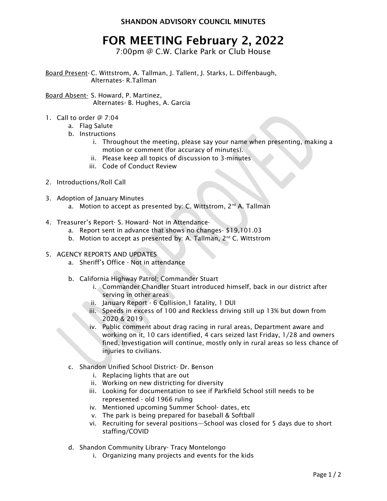SHANDON ADVISORY COUNCIL MINUTES

## FOR MEETING February 2, 2022

7:00pm @ C.W. Clarke Park or Club House

Board Present- C. Wittstrom, A. Tallman, J. Tallent, J. Starks, L. Diffenbaugh, Alternates- R.Tallman

Board Absent- S. Howard, P. Martinez, Alternates- B. Hughes, A. Garcia

- 1. Call to order @ 7:04
	- a. Flag Salute
	- b. Instructions
		- i. Throughout the meeting, please say your name when presenting, making a motion or comment (for accuracy of minutes).
		- ii. Please keep all topics of discussion to 3-minutes
		- iii. Code of Conduct Review
- 2. Introductions/Roll Call
- 3. Adoption of January Minutes
	- a. Motion to accept as presented by: C. Wittstrom,  $2^{nd}$  A. Tallman
- 4. Treasurer's Report- S. Howard- Not in Attendance
	- a. Report sent in advance that shows no changes- \$19,101.03
	- b. Motion to accept as presented by: A. Tallman, 2<sup>nd</sup> C. Wittstrom
- 5. AGENCY REPORTS AND UPDATES
	- a. Sheriff's Office Not in attendance
	- b. California Highway Patrol; Commander Stuart
		- i. Commander Chandler Stuart introduced himself, back in our district after serving in other areas
		- ii. January Report 6 Collision,1 fatality, 1 DUI
		- iii. Speeds in excess of 100 and Reckless driving still up 13% but down from 2020 & 2019
		- iv. Public comment about drag racing in rural areas, Department aware and working on it, 10 cars identified, 4 cars seized last Friday, 1/28 and owners fined, Investigation will continue, mostly only in rural areas so less chance of injuries to civilians.
	- c. Shandon Unified School District- Dr. Benson
		- i. Replacing lights that are out
		- ii. Working on new districting for diversity
		- iii. Looking for documentation to see if Parkfield School still needs to be represented - old 1966 ruling
		- iv. Mentioned upcoming Summer School- dates, etc
		- v. The park is being prepared for baseball & Softball
		- vi. Recruiting for several positions—School was closed for 5 days due to short staffing/COVID
	- d. Shandon Community Library- Tracy Montelongo
		- i. Organizing many projects and events for the kids